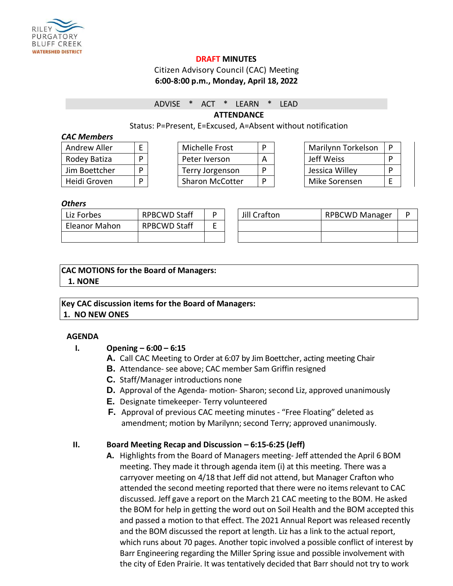

#### **DRAFT MINUTES**

#### Citizen Advisory Council (CAC) Meeting **6:00-8:00 p.m., Monday, April 18, 2022**

#### ADVISE \* ACT \* LEARN \* LEAD

**ATTENDANCE**

#### Status: P=Present, E=Excused, A=Absent without notification

#### *CAC Members*

| Andrew Aller  | E |
|---------------|---|
| Rodey Batiza  |   |
| Jim Boettcher |   |
| Heidi Groven  |   |

| Andrew Aller  |  | Michelle Frost         |  | Marilynn Torkelson | ∣ D |
|---------------|--|------------------------|--|--------------------|-----|
| Rodey Batiza  |  | Peter Iverson          |  | Jeff Weiss         | D   |
| Jim Boettcher |  | Terry Jorgenson        |  | Jessica Willey     | D   |
| Heidi Groven  |  | <b>Sharon McCotter</b> |  | Mike Sorensen      |     |

| Marilynn Torkelson | P |
|--------------------|---|
| Jeff Weiss         | P |
| Jessica Willey     | D |
| Mike Sorensen      |   |

#### *Others*

| Liz Forbes    | <b>RPBCWD Staff</b> | D | Jill Crafton | <b>RPBCWD Manager</b> |  |
|---------------|---------------------|---|--------------|-----------------------|--|
| Eleanor Mahon | <b>RPBCWD Staff</b> | - |              |                       |  |
|               |                     |   |              |                       |  |

## **CAC MOTIONS for the Board of Managers: 1. NONE**

# **Key CAC discussion items for the Board of Managers:**

**1. NO NEW ONES**

### **AGENDA**

### **I. Opening – 6:00 – 6:15**

- **A.** Call CAC Meeting to Order at 6:07 by Jim Boettcher, acting meeting Chair
- **B.** Attendance- see above; CAC member Sam Griffin resigned
- **C.** Staff/Manager introductions none
- **D.** Approval of the Agenda- motion- Sharon; second Liz, approved unanimously
- **E.** Designate timekeeper- Terry volunteered
- **F.** Approval of previous CAC meeting minutes "Free Floating" deleted as amendment; motion by Marilynn; second Terry; approved unanimously.

### **II. Board Meeting Recap and Discussion – 6:15-6:25 (Jeff)**

**A.** Highlights from the Board of Managers meeting- Jeff attended the April 6 BOM meeting. They made it through agenda item (i) at this meeting. There was a carryover meeting on 4/18 that Jeff did not attend, but Manager Crafton who attended the second meeting reported that there were no items relevant to CAC discussed. Jeff gave a report on the March 21 CAC meeting to the BOM. He asked the BOM for help in getting the word out on Soil Health and the BOM accepted this and passed a motion to that effect. The 2021 Annual Report was released recently and the BOM discussed the report at length. Liz has a link to the actual report, which runs about 70 pages. Another topic involved a possible conflict of interest by Barr Engineering regarding the Miller Spring issue and possible involvement with the city of Eden Prairie. It was tentatively decided that Barr should not try to work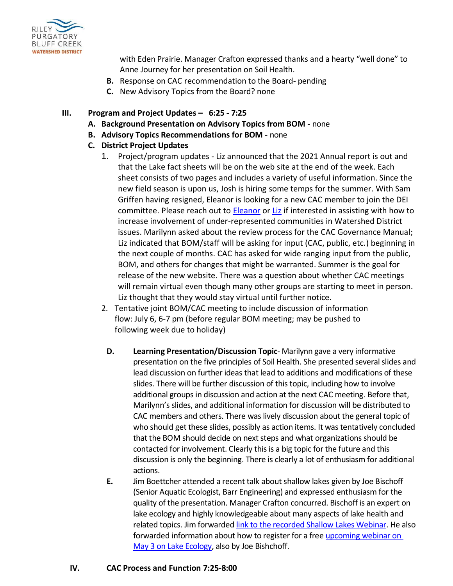

with Eden Prairie. Manager Crafton expressed thanks and a hearty "well done" to Anne Journey for her presentation on Soil Health.

- **B.** Response on CAC recommendation to the Board- pending
- **C.** New Advisory Topics from the Board? none

## **III. Program and Project Updates – 6:25 - 7:25**

- **A. Background Presentation on Advisory Topics from BOM -** none
- **B. Advisory Topics Recommendations for BOM -** none
- **C. District Project Updates**
	- 1. Project/program updates Liz announced that the 2021 Annual report is out and that the Lake fact sheets will be on the web site at the end of the week. Each sheet consists of two pages and includes a variety of useful information. Since the new field season is upon us, Josh is hiring some temps for the summer. With Sam Griffen having resigned, Eleanor is looking for a new CAC member to join the DEI committee. Please reach out to [Eleanor](mailto:emahon@rpbcwd.org) or [Liz](mailto:lforbes@rpbcwd.org) if interested in assisting with how to increase involvement of under-represented communities in Watershed District issues. Marilynn asked about the review process for the CAC Governance Manual; Liz indicated that BOM/staff will be asking for input (CAC, public, etc.) beginning in the next couple of months. CAC has asked for wide ranging input from the public, BOM, and others for changes that might be warranted. Summer is the goal for release of the new website. There was a question about whether CAC meetings will remain virtual even though many other groups are starting to meet in person. Liz thought that they would stay virtual until further notice.
	- 2. Tentative joint BOM/CAC meeting to include discussion of information flow: July 6, 6-7 pm (before regular BOM meeting; may be pushed to following week due to holiday)
		- **D. Learning Presentation/Discussion Topic** Marilynn gave a very informative presentation on the five principles of Soil Health. She presented several slides and lead discussion on further ideas that lead to additions and modifications of these slides. There will be further discussion of this topic, including how to involve additional groups in discussion and action at the next CAC meeting. Before that, Marilynn's slides, and additional information for discussion will be distributed to CAC members and others. There was lively discussion about the general topic of who should get these slides, possibly as action items. It was tentatively concluded that the BOM should decide on next steps and what organizations should be contacted for involvement. Clearly this is a big topic for the future and this discussion is only the beginning. There is clearly a lot of enthusiasm for additional actions.
		- **E.** Jim Boettcher attended a recent talk about shallow lakes given by Joe Bischoff (Senior Aquatic Ecologist, Barr Engineering) and expressed enthusiasm for the quality of the presentation. Manager Crafton concurred. Bischoff is an expert on lake ecology and highly knowledgeable about many aspects of lake health and related topics. Jim forwarded link [to the recorded Shallow Lakes Webinar.](https://vimeo.com/699106140) He also forwarded information about how to register for a free [upcoming webinar on](https://www.co.carver.mn.us/departments/public-services/planning-water-management/water-management/get-involved/lake-ecology-webinar)  [May 3 on Lake Ecology,](https://www.co.carver.mn.us/departments/public-services/planning-water-management/water-management/get-involved/lake-ecology-webinar) also by Joe Bishchoff.

## **IV. CAC Process and Function 7:25-8:00**